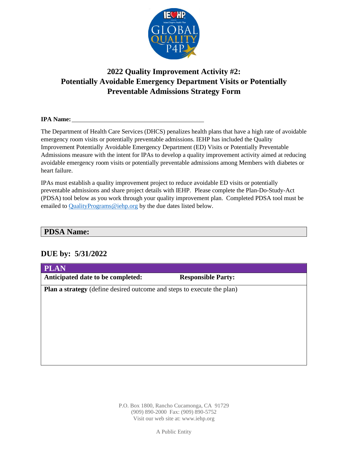

# **2022 Quality Improvement Activity #2: Potentially Avoidable Emergency Department Visits or Potentially Preventable Admissions Strategy Form**

#### **IPA Name:**

The Department of Health Care Services (DHCS) penalizes health plans that have a high rate of avoidable emergency room visits or potentially preventable admissions. IEHP has included the Quality Improvement Potentially Avoidable Emergency Department (ED) Visits or Potentially Preventable Admissions measure with the intent for IPAs to develop a quality improvement activity aimed at reducing avoidable emergency room visits or potentially preventable admissions among Members with diabetes or heart failure.

IPAs must establish a quality improvement project to reduce avoidable ED visits or potentially preventable admissions and share project details with IEHP. Please complete the Plan-Do-Study-Act (PDSA) tool below as you work through your quality improvement plan. Completed PDSA tool must be emailed to [QualityPrograms@iehp.org](mailto:QualityPrograms@iehp.org) by the due dates listed below.

#### **PDSA Name:**

### **DUE by: 5/31/2022**

| <b>PLAN</b>                                                                   |                           |  |
|-------------------------------------------------------------------------------|---------------------------|--|
| Anticipated date to be completed:                                             | <b>Responsible Party:</b> |  |
| <b>Plan a strategy</b> (define desired outcome and steps to execute the plan) |                           |  |
|                                                                               |                           |  |
|                                                                               |                           |  |
|                                                                               |                           |  |
|                                                                               |                           |  |
|                                                                               |                           |  |
|                                                                               |                           |  |
|                                                                               |                           |  |

P.O. Box 1800, Rancho Cucamonga, CA 91729 (909) 890-2000 Fax: (909) 890-5752 Visit our web site at: www.iehp.org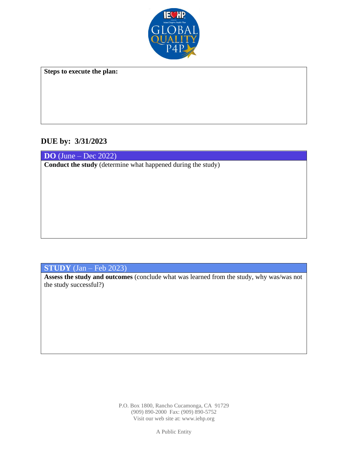

**Steps to execute the plan:**

## **DUE by: 3/31/2023**

**DO** (June – Dec 2022)

**Conduct the study** (determine what happened during the study)

### **STUDY** (Jan – Feb 2023)

**Assess the study and outcomes** (conclude what was learned from the study, why was/was not the study successful?)

> P.O. Box 1800, Rancho Cucamonga, CA 91729 (909) 890-2000 Fax: (909) 890-5752 Visit our web site at: www.iehp.org

> > A Public Entity